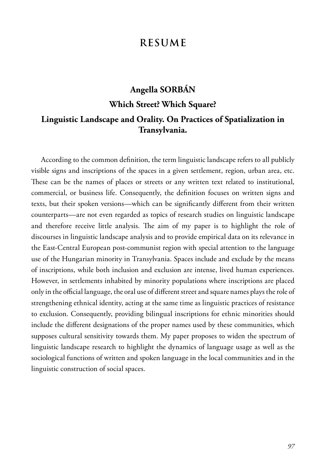## **RESUME**

# **Angella SORBÁN Which Street? Which Square? Linguistic Landscape and Orality. On Practices of Spatialization in Transylvania.**

According to the common definition, the term linguistic landscape refers to all publicly visible signs and inscriptions of the spaces in a given settlement, region, urban area, etc. These can be the names of places or streets or any written text related to institutional, commercial, or business life. Consequently, the definition focuses on written signs and texts, but their spoken versions—which can be significantly different from their written counterparts—are not even regarded as topics of research studies on linguistic landscape and therefore receive little analysis. The aim of my paper is to highlight the role of discourses in linguistic landscape analysis and to provide empirical data on its relevance in the East-Central European post-communist region with special attention to the language use of the Hungarian minority in Transylvania. Spaces include and exclude by the means of inscriptions, while both inclusion and exclusion are intense, lived human experiences. However, in settlements inhabited by minority populations where inscriptions are placed only in the official language, the oral use of different street and square names plays the role of strengthening ethnical identity, acting at the same time as linguistic practices of resistance to exclusion. Consequently, providing bilingual inscriptions for ethnic minorities should include the different designations of the proper names used by these communities, which supposes cultural sensitivity towards them. My paper proposes to widen the spectrum of linguistic landscape research to highlight the dynamics of language usage as well as the sociological functions of written and spoken language in the local communities and in the linguistic construction of social spaces.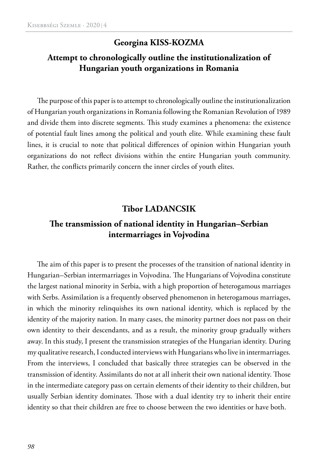### **Georgina KISS-KOZMA**

## **Attempt to chronologically outline the institutionalization of Hungarian youth organizations in Romania**

The purpose of this paper is to attempt to chronologically outline the institutionalization of Hungarian youth organizations in Romania following the Romanian Revolution of 1989 and divide them into discrete segments. This study examines a phenomena: the existence of potential fault lines among the political and youth elite. While examining these fault lines, it is crucial to note that political differences of opinion within Hungarian youth organizations do not reflect divisions within the entire Hungarian youth community. Rather, the conflicts primarily concern the inner circles of youth elites.

#### **Tibor LADANCSIK**

### **The transmission of national identity in Hungarian–Serbian intermarriages in Vojvodina**

The aim of this paper is to present the processes of the transition of national identity in Hungarian–Serbian intermarriages in Vojvodina. The Hungarians of Vojvodina constitute the largest national minority in Serbia, with a high proportion of heterogamous marriages with Serbs. Assimilation is a frequently observed phenomenon in heterogamous marriages, in which the minority relinquishes its own national identity, which is replaced by the identity of the majority nation. In many cases, the minority partner does not pass on their own identity to their descendants, and as a result, the minority group gradually withers away. In this study, I present the transmission strategies of the Hungarian identity. During my qualitative research, I conducted interviews with Hungarians who live in intermarriages. From the interviews, I concluded that basically three strategies can be observed in the transmission of identity. Assimilants do not at all inherit their own national identity. Those in the intermediate category pass on certain elements of their identity to their children, but usually Serbian identity dominates. Those with a dual identity try to inherit their entire identity so that their children are free to choose between the two identities or have both.